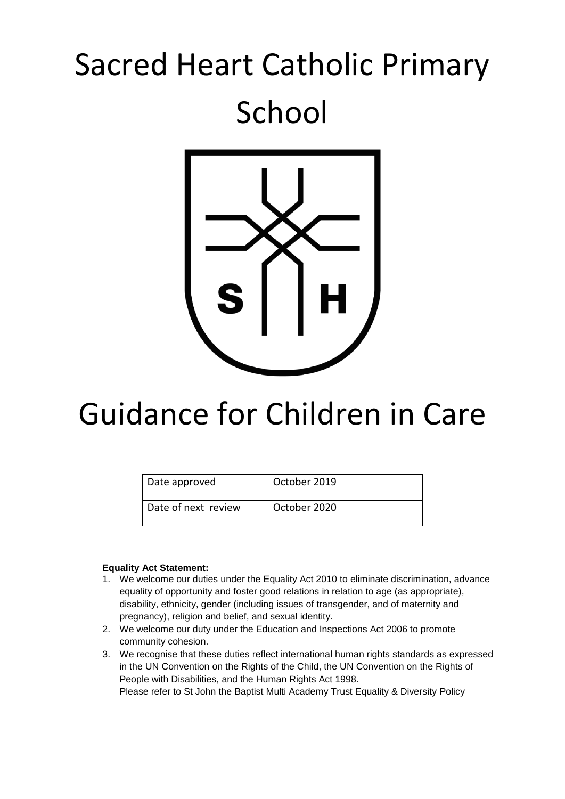# Sacred Heart Catholic Primary School



## Guidance for Children in Care

| Date approved         | October 2019 |
|-----------------------|--------------|
| l Date of next review | October 2020 |

#### **Equality Act Statement:**

- 1. We welcome our duties under the Equality Act 2010 to eliminate discrimination, advance equality of opportunity and foster good relations in relation to age (as appropriate), disability, ethnicity, gender (including issues of transgender, and of maternity and pregnancy), religion and belief, and sexual identity.
- 2. We welcome our duty under the Education and Inspections Act 2006 to promote community cohesion.
- 3. We recognise that these duties reflect international human rights standards as expressed in the UN Convention on the Rights of the Child, the UN Convention on the Rights of People with Disabilities, and the Human Rights Act 1998. Please refer to St John the Baptist Multi Academy Trust Equality & Diversity Policy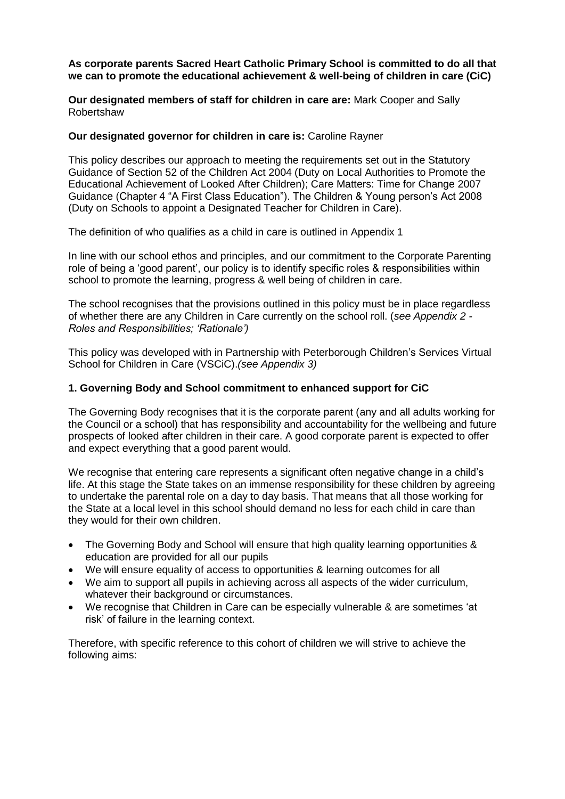#### **As corporate parents Sacred Heart Catholic Primary School is committed to do all that we can to promote the educational achievement & well-being of children in care (CiC)**

**Our designated members of staff for children in care are:** Mark Cooper and Sally Robertshaw

#### **Our designated governor for children in care is:** Caroline Rayner

This policy describes our approach to meeting the requirements set out in the Statutory Guidance of Section 52 of the Children Act 2004 (Duty on Local Authorities to Promote the Educational Achievement of Looked After Children); Care Matters: Time for Change 2007 Guidance (Chapter 4 "A First Class Education"). The Children & Young person's Act 2008 (Duty on Schools to appoint a Designated Teacher for Children in Care).

The definition of who qualifies as a child in care is outlined in Appendix 1

In line with our school ethos and principles, and our commitment to the Corporate Parenting role of being a 'good parent', our policy is to identify specific roles & responsibilities within school to promote the learning, progress & well being of children in care.

The school recognises that the provisions outlined in this policy must be in place regardless of whether there are any Children in Care currently on the school roll. (*see Appendix 2 - Roles and Responsibilities; 'Rationale')* 

This policy was developed with in Partnership with Peterborough Children's Services Virtual School for Children in Care (VSCiC).*(see Appendix 3)*

#### **1. Governing Body and School commitment to enhanced support for CiC**

The Governing Body recognises that it is the corporate parent (any and all adults working for the Council or a school) that has responsibility and accountability for the wellbeing and future prospects of looked after children in their care. A good corporate parent is expected to offer and expect everything that a good parent would.

We recognise that entering care represents a significant often negative change in a child's life. At this stage the State takes on an immense responsibility for these children by agreeing to undertake the parental role on a day to day basis. That means that all those working for the State at a local level in this school should demand no less for each child in care than they would for their own children.

- The Governing Body and School will ensure that high quality learning opportunities & education are provided for all our pupils
- We will ensure equality of access to opportunities & learning outcomes for all
- We aim to support all pupils in achieving across all aspects of the wider curriculum, whatever their background or circumstances.
- We recognise that Children in Care can be especially vulnerable & are sometimes 'at risk' of failure in the learning context.

Therefore, with specific reference to this cohort of children we will strive to achieve the following aims: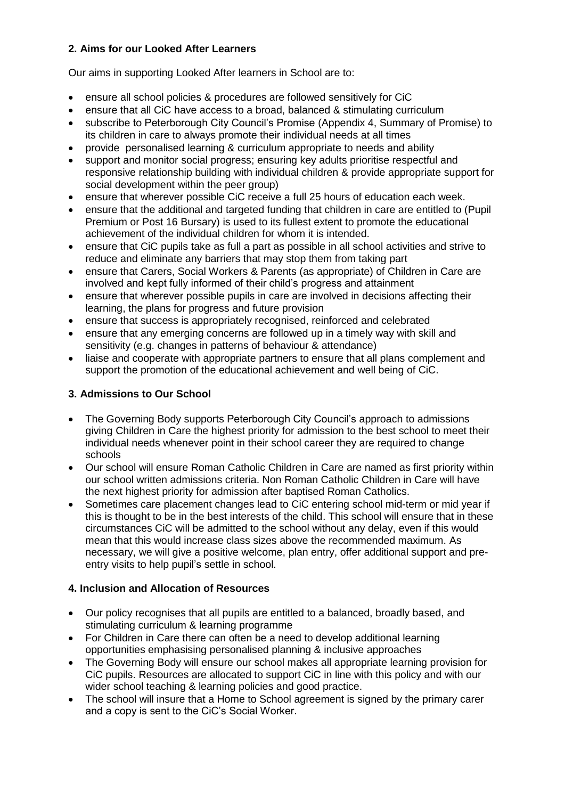## **2. Aims for our Looked After Learners**

Our aims in supporting Looked After learners in School are to:

- ensure all school policies & procedures are followed sensitively for CiC
- ensure that all CiC have access to a broad, balanced & stimulating curriculum
- subscribe to Peterborough City Council's Promise (Appendix 4, Summary of Promise) to its children in care to always promote their individual needs at all times
- provide personalised learning & curriculum appropriate to needs and ability
- support and monitor social progress; ensuring key adults prioritise respectful and responsive relationship building with individual children & provide appropriate support for social development within the peer group)
- ensure that wherever possible CiC receive a full 25 hours of education each week.
- ensure that the additional and targeted funding that children in care are entitled to (Pupil Premium or Post 16 Bursary) is used to its fullest extent to promote the educational achievement of the individual children for whom it is intended.
- ensure that CiC pupils take as full a part as possible in all school activities and strive to reduce and eliminate any barriers that may stop them from taking part
- ensure that Carers, Social Workers & Parents (as appropriate) of Children in Care are involved and kept fully informed of their child's progress and attainment
- ensure that wherever possible pupils in care are involved in decisions affecting their learning, the plans for progress and future provision
- ensure that success is appropriately recognised, reinforced and celebrated
- ensure that any emerging concerns are followed up in a timely way with skill and sensitivity (e.g. changes in patterns of behaviour & attendance)
- liaise and cooperate with appropriate partners to ensure that all plans complement and support the promotion of the educational achievement and well being of CiC.

## **3. Admissions to Our School**

- The Governing Body supports Peterborough City Council's approach to admissions giving Children in Care the highest priority for admission to the best school to meet their individual needs whenever point in their school career they are required to change schools
- Our school will ensure Roman Catholic Children in Care are named as first priority within our school written admissions criteria. Non Roman Catholic Children in Care will have the next highest priority for admission after baptised Roman Catholics.
- Sometimes care placement changes lead to CiC entering school mid-term or mid year if this is thought to be in the best interests of the child. This school will ensure that in these circumstances CiC will be admitted to the school without any delay, even if this would mean that this would increase class sizes above the recommended maximum. As necessary, we will give a positive welcome, plan entry, offer additional support and preentry visits to help pupil's settle in school.

## **4. Inclusion and Allocation of Resources**

- Our policy recognises that all pupils are entitled to a balanced, broadly based, and stimulating curriculum & learning programme
- For Children in Care there can often be a need to develop additional learning opportunities emphasising personalised planning & inclusive approaches
- The Governing Body will ensure our school makes all appropriate learning provision for CiC pupils. Resources are allocated to support CiC in line with this policy and with our wider school teaching & learning policies and good practice.
- The school will insure that a Home to School agreement is signed by the primary carer and a copy is sent to the CiC's Social Worker.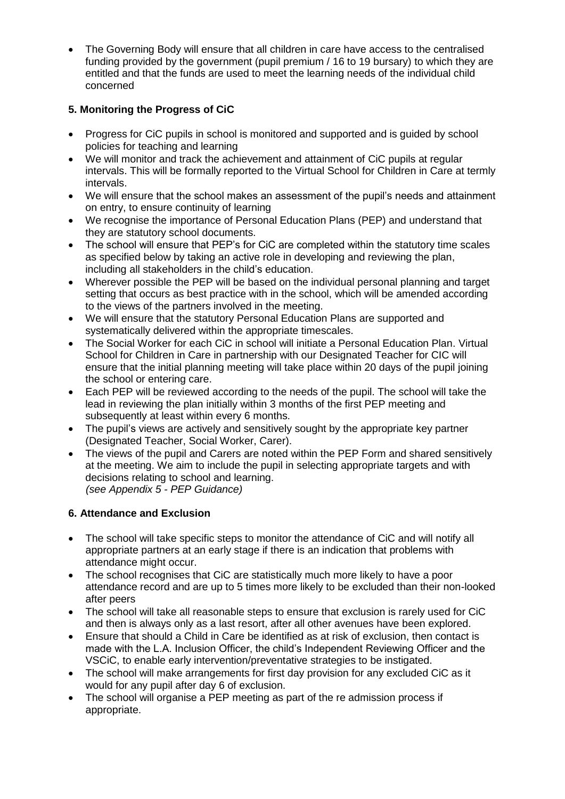The Governing Body will ensure that all children in care have access to the centralised funding provided by the government (pupil premium / 16 to 19 bursary) to which they are entitled and that the funds are used to meet the learning needs of the individual child concerned

## **5. Monitoring the Progress of CiC**

- Progress for CiC pupils in school is monitored and supported and is guided by school policies for teaching and learning
- We will monitor and track the achievement and attainment of CiC pupils at regular intervals. This will be formally reported to the Virtual School for Children in Care at termly intervals.
- We will ensure that the school makes an assessment of the pupil's needs and attainment on entry, to ensure continuity of learning
- We recognise the importance of Personal Education Plans (PEP) and understand that they are statutory school documents.
- The school will ensure that PEP's for CiC are completed within the statutory time scales as specified below by taking an active role in developing and reviewing the plan, including all stakeholders in the child's education.
- Wherever possible the PEP will be based on the individual personal planning and target setting that occurs as best practice with in the school, which will be amended according to the views of the partners involved in the meeting.
- We will ensure that the statutory Personal Education Plans are supported and systematically delivered within the appropriate timescales.
- The Social Worker for each CiC in school will initiate a Personal Education Plan. Virtual School for Children in Care in partnership with our Designated Teacher for CIC will ensure that the initial planning meeting will take place within 20 days of the pupil joining the school or entering care.
- Each PEP will be reviewed according to the needs of the pupil. The school will take the lead in reviewing the plan initially within 3 months of the first PEP meeting and subsequently at least within every 6 months.
- The pupil's views are actively and sensitively sought by the appropriate key partner (Designated Teacher, Social Worker, Carer).
- The views of the pupil and Carers are noted within the PEP Form and shared sensitively at the meeting. We aim to include the pupil in selecting appropriate targets and with decisions relating to school and learning.  *(see Appendix 5 - PEP Guidance)*

## **6. Attendance and Exclusion**

- The school will take specific steps to monitor the attendance of CiC and will notify all appropriate partners at an early stage if there is an indication that problems with attendance might occur.
- The school recognises that CiC are statistically much more likely to have a poor attendance record and are up to 5 times more likely to be excluded than their non-looked after peers
- The school will take all reasonable steps to ensure that exclusion is rarely used for CiC and then is always only as a last resort, after all other avenues have been explored.
- Ensure that should a Child in Care be identified as at risk of exclusion, then contact is made with the L.A. Inclusion Officer, the child's Independent Reviewing Officer and the VSCiC, to enable early intervention/preventative strategies to be instigated.
- The school will make arrangements for first day provision for any excluded CiC as it would for any pupil after day 6 of exclusion.
- The school will organise a PEP meeting as part of the re admission process if appropriate.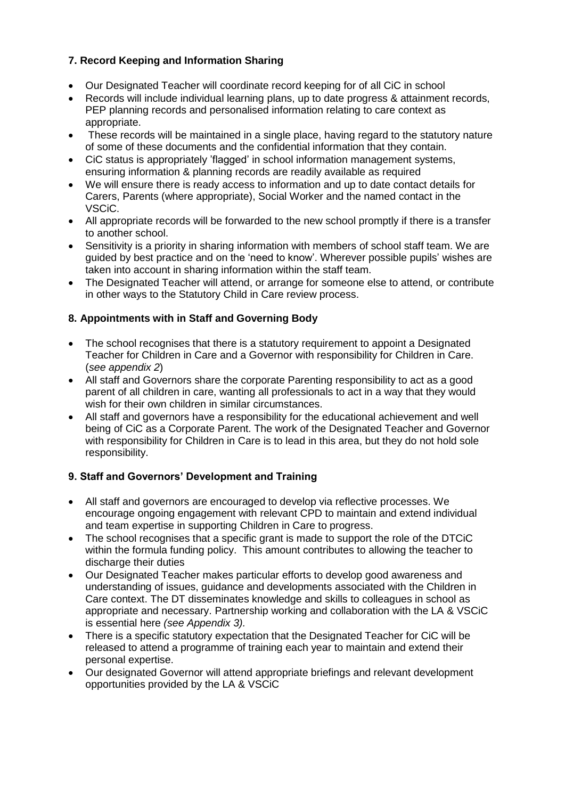## **7. Record Keeping and Information Sharing**

- Our Designated Teacher will coordinate record keeping for of all CiC in school
- Records will include individual learning plans, up to date progress & attainment records, PEP planning records and personalised information relating to care context as appropriate.
- These records will be maintained in a single place, having regard to the statutory nature of some of these documents and the confidential information that they contain.
- CiC status is appropriately 'flagged' in school information management systems, ensuring information & planning records are readily available as required
- We will ensure there is ready access to information and up to date contact details for Carers, Parents (where appropriate), Social Worker and the named contact in the VSCiC.
- All appropriate records will be forwarded to the new school promptly if there is a transfer to another school.
- Sensitivity is a priority in sharing information with members of school staff team. We are guided by best practice and on the 'need to know'. Wherever possible pupils' wishes are taken into account in sharing information within the staff team.
- The Designated Teacher will attend, or arrange for someone else to attend, or contribute in other ways to the Statutory Child in Care review process.

## **8. Appointments with in Staff and Governing Body**

- The school recognises that there is a statutory requirement to appoint a Designated Teacher for Children in Care and a Governor with responsibility for Children in Care. (*see appendix 2*)
- All staff and Governors share the corporate Parenting responsibility to act as a good parent of all children in care, wanting all professionals to act in a way that they would wish for their own children in similar circumstances.
- All staff and governors have a responsibility for the educational achievement and well being of CiC as a Corporate Parent. The work of the Designated Teacher and Governor with responsibility for Children in Care is to lead in this area, but they do not hold sole responsibility.

## **9. Staff and Governors' Development and Training**

- All staff and governors are encouraged to develop via reflective processes. We encourage ongoing engagement with relevant CPD to maintain and extend individual and team expertise in supporting Children in Care to progress.
- The school recognises that a specific grant is made to support the role of the DTCiC within the formula funding policy. This amount contributes to allowing the teacher to discharge their duties
- Our Designated Teacher makes particular efforts to develop good awareness and understanding of issues, guidance and developments associated with the Children in Care context. The DT disseminates knowledge and skills to colleagues in school as appropriate and necessary. Partnership working and collaboration with the LA & VSCiC is essential here *(see Appendix 3).*
- There is a specific statutory expectation that the Designated Teacher for CiC will be released to attend a programme of training each year to maintain and extend their personal expertise.
- Our designated Governor will attend appropriate briefings and relevant development opportunities provided by the LA & VSCiC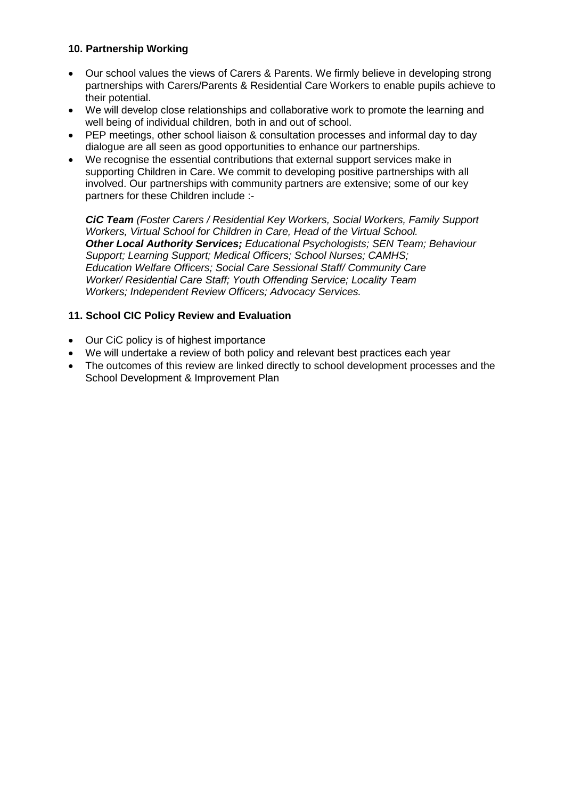## **10. Partnership Working**

- Our school values the views of Carers & Parents. We firmly believe in developing strong partnerships with Carers/Parents & Residential Care Workers to enable pupils achieve to their potential.
- We will develop close relationships and collaborative work to promote the learning and well being of individual children, both in and out of school.
- PEP meetings, other school liaison & consultation processes and informal day to day dialogue are all seen as good opportunities to enhance our partnerships.
- We recognise the essential contributions that external support services make in supporting Children in Care. We commit to developing positive partnerships with all involved. Our partnerships with community partners are extensive; some of our key partners for these Children include :-

*CiC Team (Foster Carers / Residential Key Workers, Social Workers, Family Support Workers, Virtual School for Children in Care, Head of the Virtual School. Other Local Authority Services; Educational Psychologists; SEN Team; Behaviour Support; Learning Support; Medical Officers; School Nurses; CAMHS; Education Welfare Officers; Social Care Sessional Staff/ Community Care Worker/ Residential Care Staff; Youth Offending Service; Locality Team Workers; Independent Review Officers; Advocacy Services.* 

## **11. School CIC Policy Review and Evaluation**

- Our CiC policy is of highest importance
- We will undertake a review of both policy and relevant best practices each year
- The outcomes of this review are linked directly to school development processes and the School Development & Improvement Plan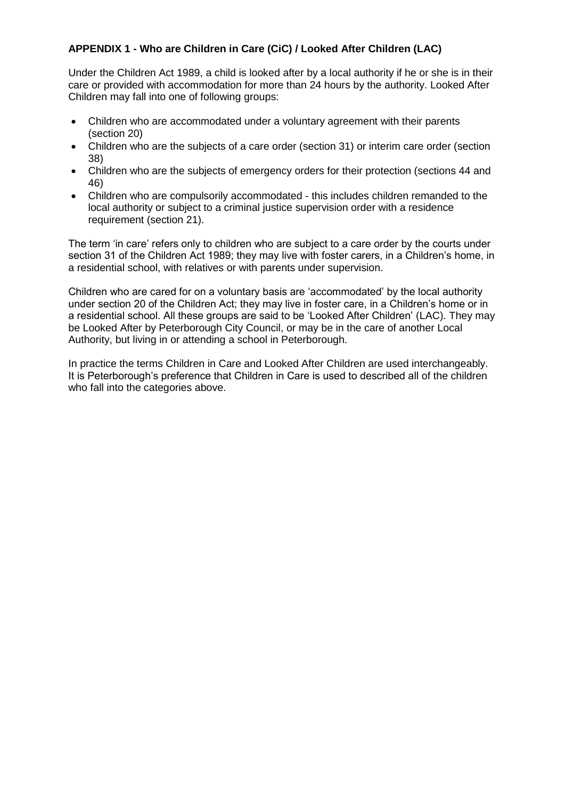## **APPENDIX 1 - Who are Children in Care (CiC) / Looked After Children (LAC)**

Under the Children Act 1989, a child is looked after by a local authority if he or she is in their care or provided with accommodation for more than 24 hours by the authority. Looked After Children may fall into one of following groups:

- Children who are accommodated under a voluntary agreement with their parents (section 20)
- Children who are the subjects of a care order (section 31) or interim care order (section 38)
- Children who are the subjects of emergency orders for their protection (sections 44 and 46)
- Children who are compulsorily accommodated this includes children remanded to the local authority or subject to a criminal justice supervision order with a residence requirement (section 21).

The term 'in care' refers only to children who are subject to a care order by the courts under section 31 of the Children Act 1989; they may live with foster carers, in a Children's home, in a residential school, with relatives or with parents under supervision.

Children who are cared for on a voluntary basis are 'accommodated' by the local authority under section 20 of the Children Act; they may live in foster care, in a Children's home or in a residential school. All these groups are said to be 'Looked After Children' (LAC). They may be Looked After by Peterborough City Council, or may be in the care of another Local Authority, but living in or attending a school in Peterborough.

In practice the terms Children in Care and Looked After Children are used interchangeably. It is Peterborough's preference that Children in Care is used to described all of the children who fall into the categories above.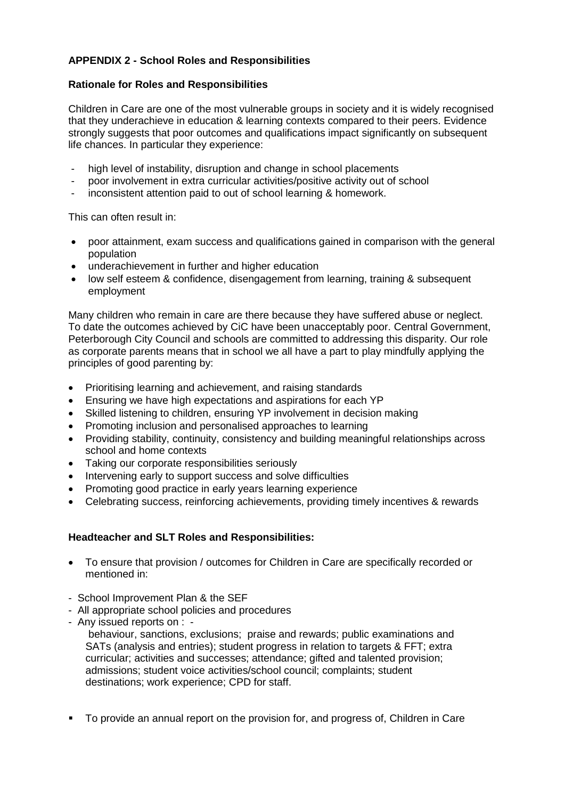## **APPENDIX 2 - School Roles and Responsibilities**

#### **Rationale for Roles and Responsibilities**

Children in Care are one of the most vulnerable groups in society and it is widely recognised that they underachieve in education & learning contexts compared to their peers. Evidence strongly suggests that poor outcomes and qualifications impact significantly on subsequent life chances. In particular they experience:

- high level of instability, disruption and change in school placements
- poor involvement in extra curricular activities/positive activity out of school
- inconsistent attention paid to out of school learning & homework.

This can often result in:

- poor attainment, exam success and qualifications gained in comparison with the general population
- underachievement in further and higher education
- low self esteem & confidence, disengagement from learning, training & subsequent employment

Many children who remain in care are there because they have suffered abuse or neglect. To date the outcomes achieved by CiC have been unacceptably poor. Central Government, Peterborough City Council and schools are committed to addressing this disparity. Our role as corporate parents means that in school we all have a part to play mindfully applying the principles of good parenting by:

- Prioritising learning and achievement, and raising standards
- Ensuring we have high expectations and aspirations for each YP
- Skilled listening to children, ensuring YP involvement in decision making
- Promoting inclusion and personalised approaches to learning
- Providing stability, continuity, consistency and building meaningful relationships across school and home contexts
- Taking our corporate responsibilities seriously
- Intervening early to support success and solve difficulties
- Promoting good practice in early years learning experience
- Celebrating success, reinforcing achievements, providing timely incentives & rewards

## **Headteacher and SLT Roles and Responsibilities:**

- To ensure that provision / outcomes for Children in Care are specifically recorded or mentioned in:
- School Improvement Plan & the SEF
- All appropriate school policies and procedures
- Any issued reports on : -

behaviour, sanctions, exclusions; praise and rewards; public examinations and SATs (analysis and entries); student progress in relation to targets & FFT; extra curricular; activities and successes; attendance; gifted and talented provision; admissions; student voice activities/school council; complaints; student destinations; work experience; CPD for staff.

To provide an annual report on the provision for, and progress of, Children in Care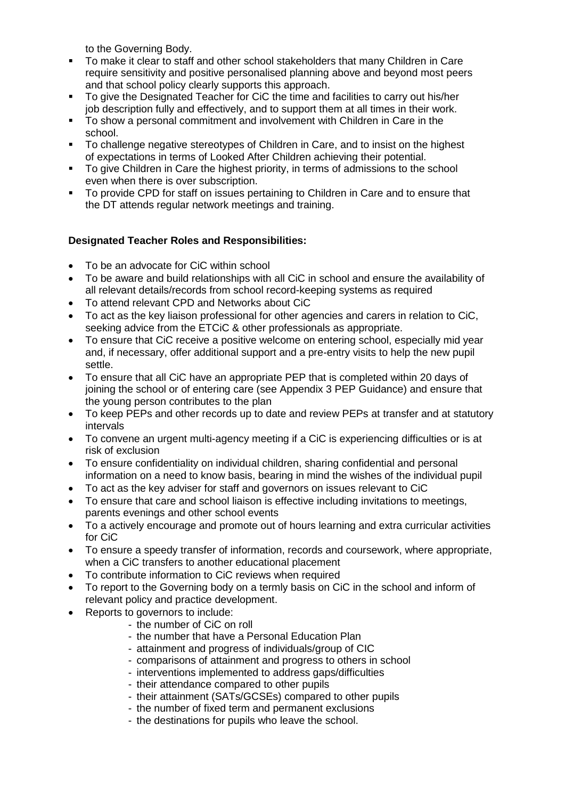to the Governing Body.

- To make it clear to staff and other school stakeholders that many Children in Care require sensitivity and positive personalised planning above and beyond most peers and that school policy clearly supports this approach.
- To give the Designated Teacher for CiC the time and facilities to carry out his/her job description fully and effectively, and to support them at all times in their work.
- To show a personal commitment and involvement with Children in Care in the school.
- To challenge negative stereotypes of Children in Care, and to insist on the highest of expectations in terms of Looked After Children achieving their potential.
- To give Children in Care the highest priority, in terms of admissions to the school even when there is over subscription.
- To provide CPD for staff on issues pertaining to Children in Care and to ensure that the DT attends regular network meetings and training.

## **Designated Teacher Roles and Responsibilities:**

- To be an advocate for CiC within school
- To be aware and build relationships with all CiC in school and ensure the availability of all relevant details/records from school record-keeping systems as required
- To attend relevant CPD and Networks about CiC
- To act as the key liaison professional for other agencies and carers in relation to CiC, seeking advice from the ETCiC & other professionals as appropriate.
- To ensure that CiC receive a positive welcome on entering school, especially mid year and, if necessary, offer additional support and a pre-entry visits to help the new pupil settle.
- To ensure that all CiC have an appropriate PEP that is completed within 20 days of joining the school or of entering care (see Appendix 3 PEP Guidance) and ensure that the young person contributes to the plan
- To keep PEPs and other records up to date and review PEPs at transfer and at statutory intervals
- To convene an urgent multi-agency meeting if a CiC is experiencing difficulties or is at risk of exclusion
- To ensure confidentiality on individual children, sharing confidential and personal information on a need to know basis, bearing in mind the wishes of the individual pupil
- To act as the key adviser for staff and governors on issues relevant to CiC
- To ensure that care and school liaison is effective including invitations to meetings, parents evenings and other school events
- To a actively encourage and promote out of hours learning and extra curricular activities for CiC
- To ensure a speedy transfer of information, records and coursework, where appropriate, when a CiC transfers to another educational placement
- To contribute information to CiC reviews when required
- To report to the Governing body on a termly basis on CiC in the school and inform of relevant policy and practice development.
- Reports to governors to include:
	- the number of CiC on roll
	- the number that have a Personal Education Plan
	- attainment and progress of individuals/group of CIC
	- comparisons of attainment and progress to others in school
	- interventions implemented to address gaps/difficulties
	- their attendance compared to other pupils
	- their attainment (SATs/GCSEs) compared to other pupils
	- the number of fixed term and permanent exclusions
	- the destinations for pupils who leave the school.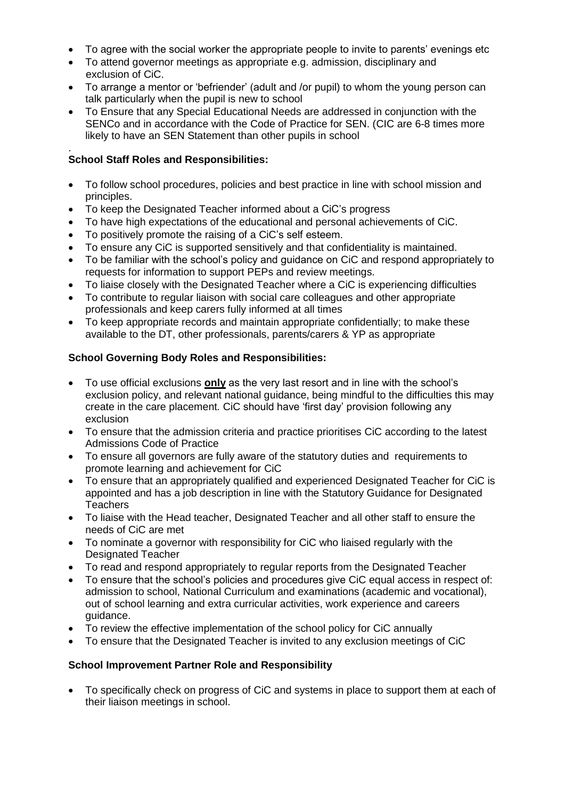- To agree with the social worker the appropriate people to invite to parents' evenings etc
- To attend governor meetings as appropriate e.g. admission, disciplinary and exclusion of CiC.
- To arrange a mentor or 'befriender' (adult and /or pupil) to whom the young person can talk particularly when the pupil is new to school
- To Ensure that any Special Educational Needs are addressed in conjunction with the SENCo and in accordance with the Code of Practice for SEN. (CIC are 6-8 times more likely to have an SEN Statement than other pupils in school

#### . **School Staff Roles and Responsibilities:**

- To follow school procedures, policies and best practice in line with school mission and principles.
- To keep the Designated Teacher informed about a CiC's progress
- To have high expectations of the educational and personal achievements of CiC.
- To positively promote the raising of a CiC's self esteem.
- To ensure any CiC is supported sensitively and that confidentiality is maintained.
- To be familiar with the school's policy and guidance on CiC and respond appropriately to requests for information to support PEPs and review meetings.
- To liaise closely with the Designated Teacher where a CiC is experiencing difficulties
- To contribute to regular liaison with social care colleagues and other appropriate professionals and keep carers fully informed at all times
- To keep appropriate records and maintain appropriate confidentially; to make these available to the DT, other professionals, parents/carers & YP as appropriate

## **School Governing Body Roles and Responsibilities:**

- To use official exclusions **only** as the very last resort and in line with the school's exclusion policy, and relevant national guidance, being mindful to the difficulties this may create in the care placement. CiC should have 'first day' provision following any exclusion
- To ensure that the admission criteria and practice prioritises CiC according to the latest Admissions Code of Practice
- To ensure all governors are fully aware of the statutory duties and requirements to promote learning and achievement for CiC
- To ensure that an appropriately qualified and experienced Designated Teacher for CiC is appointed and has a job description in line with the Statutory Guidance for Designated **Teachers**
- To liaise with the Head teacher, Designated Teacher and all other staff to ensure the needs of CiC are met
- To nominate a governor with responsibility for CiC who liaised regularly with the Designated Teacher
- To read and respond appropriately to regular reports from the Designated Teacher
- To ensure that the school's policies and procedures give CiC equal access in respect of: admission to school, National Curriculum and examinations (academic and vocational), out of school learning and extra curricular activities, work experience and careers guidance.
- To review the effective implementation of the school policy for CiC annually
- To ensure that the Designated Teacher is invited to any exclusion meetings of CiC

#### **School Improvement Partner Role and Responsibility**

• To specifically check on progress of CiC and systems in place to support them at each of their liaison meetings in school.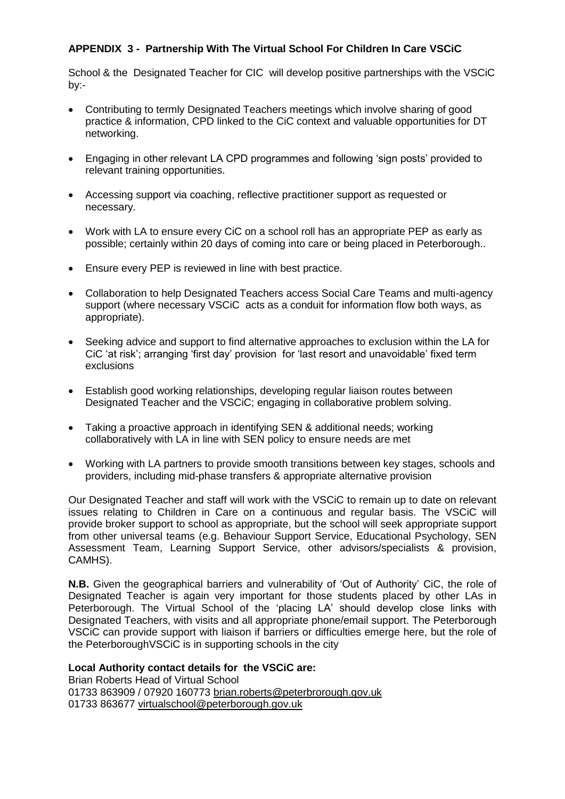## **APPENDIX 3 - Partnership With The Virtual School For Children In Care VSCiC**

School & the Designated Teacher for CIC will develop positive partnerships with the VSCiC by:-

- Contributing to termly Designated Teachers meetings which involve sharing of good practice & information, CPD linked to the CiC context and valuable opportunities for DT networking.
- Engaging in other relevant LA CPD programmes and following 'sign posts' provided to relevant training opportunities.
- Accessing support via coaching, reflective practitioner support as requested or necessary.
- Work with LA to ensure every CiC on a school roll has an appropriate PEP as early as possible; certainly within 20 days of coming into care or being placed in Peterborough..
- Ensure every PEP is reviewed in line with best practice.
- Collaboration to help Designated Teachers access Social Care Teams and multi-agency support (where necessary VSCiC acts as a conduit for information flow both ways, as appropriate).
- Seeking advice and support to find alternative approaches to exclusion within the LA for CiC 'at risk'; arranging 'first day' provision for 'last resort and unavoidable' fixed term exclusions
- Establish good working relationships, developing regular liaison routes between Designated Teacher and the VSCiC; engaging in collaborative problem solving.
- Taking a proactive approach in identifying SEN & additional needs; working collaboratively with LA in line with SEN policy to ensure needs are met
- Working with LA partners to provide smooth transitions between key stages, schools and providers, including mid-phase transfers & appropriate alternative provision

Our Designated Teacher and staff will work with the VSCiC to remain up to date on relevant issues relating to Children in Care on a continuous and regular basis. The VSCiC will provide broker support to school as appropriate, but the school will seek appropriate support from other universal teams (e.g. Behaviour Support Service, Educational Psychology, SEN Assessment Team, Learning Support Service, other advisors/specialists & provision, CAMHS).

**N.B.** Given the geographical barriers and vulnerability of 'Out of Authority' CiC, the role of Designated Teacher is again very important for those students placed by other LAs in Peterborough. The Virtual School of the 'placing LA' should develop close links with Designated Teachers, with visits and all appropriate phone/email support. The Peterborough VSCiC can provide support with liaison if barriers or difficulties emerge here, but the role of the PeterboroughVSCiC is in supporting schools in the city

#### **Local Authority contact details for the VSCiC are:**

Brian Roberts Head of Virtual School 01733 863909 / 07920 160773 [brian.roberts@peterbrorough.gov.uk](mailto:brian.roberts@peterbrorough.gov.uk) 01733 863677 [virtualschool@peterborough.gov.uk](mailto:virtualschool@peterborough.gov.uk)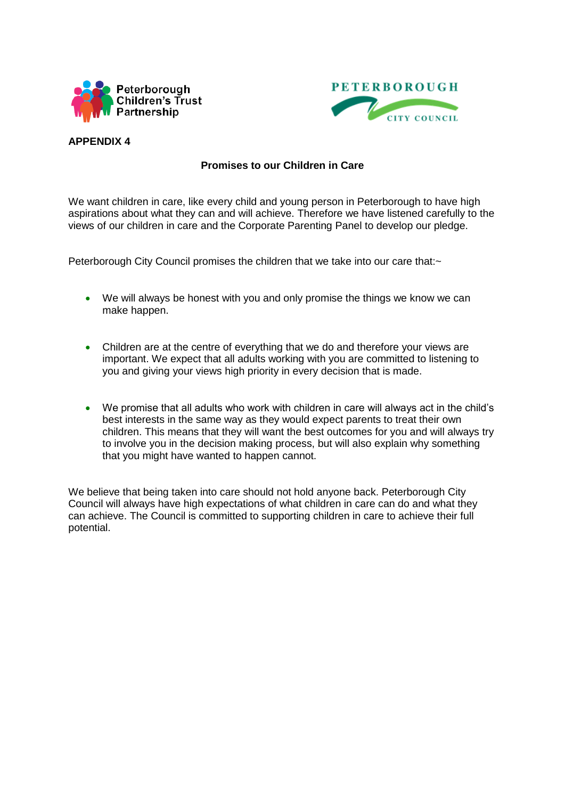



#### **APPENDIX 4**

## **Promises to our Children in Care**

We want children in care, like every child and young person in Peterborough to have high aspirations about what they can and will achieve. Therefore we have listened carefully to the views of our children in care and the Corporate Parenting Panel to develop our pledge.

Peterborough City Council promises the children that we take into our care that:~

- We will always be honest with you and only promise the things we know we can make happen.
- Children are at the centre of everything that we do and therefore your views are important. We expect that all adults working with you are committed to listening to you and giving your views high priority in every decision that is made.
- We promise that all adults who work with children in care will always act in the child's best interests in the same way as they would expect parents to treat their own children. This means that they will want the best outcomes for you and will always try to involve you in the decision making process, but will also explain why something that you might have wanted to happen cannot.

We believe that being taken into care should not hold anyone back. Peterborough City Council will always have high expectations of what children in care can do and what they can achieve. The Council is committed to supporting children in care to achieve their full potential.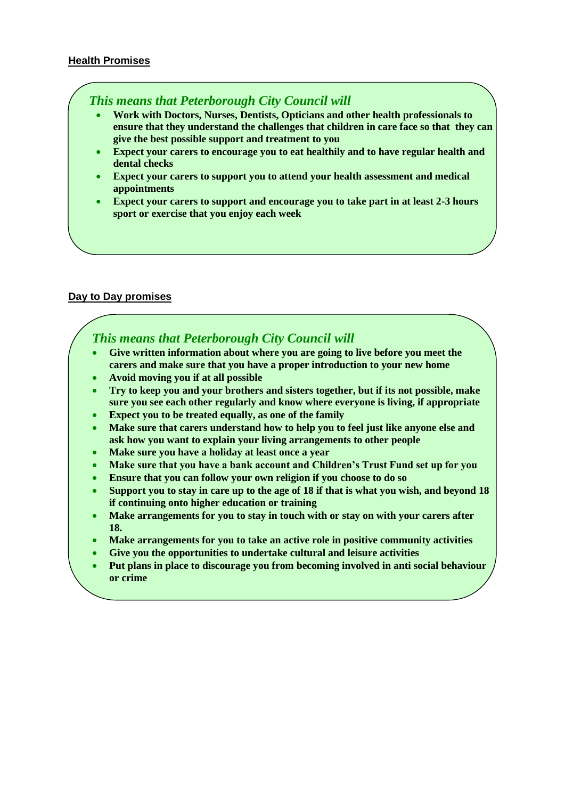#### **Health Promises**

## *This means that Peterborough City Council will*

- **Work with Doctors, Nurses, Dentists, Opticians and other health professionals to ensure that they understand the challenges that children in care face so that they can give the best possible support and treatment to you**
- **Expect your carers to encourage you to eat healthily and to have regular health and dental checks**
- **Expect your carers to support you to attend your health assessment and medical appointments**
- **Expect your carers to support and encourage you to take part in at least 2-3 hours sport or exercise that you enjoy each week**

#### **Day to Day promises**

## *This means that Peterborough City Council will*

- **Give written information about where you are going to live before you meet the carers and make sure that you have a proper introduction to your new home**
- **Avoid moving you if at all possible**
- **Try to keep you and your brothers and sisters together, but if its not possible, make sure you see each other regularly and know where everyone is living, if appropriate**
- **Expect you to be treated equally, as one of the family**
- **Make sure that carers understand how to help you to feel just like anyone else and ask how you want to explain your living arrangements to other people**
- **Make sure you have a holiday at least once a year**
- **Make sure that you have a bank account and Children's Trust Fund set up for you**
- **Ensure that you can follow your own religion if you choose to do so**
- **Support you to stay in care up to the age of 18 if that is what you wish, and beyond 18 if continuing onto higher education or training**
- **Make arrangements for you to stay in touch with or stay on with your carers after 18.**
- **Make arrangements for you to take an active role in positive community activities**
- **Give you the opportunities to undertake cultural and leisure activities**
- **Put plans in place to discourage you from becoming involved in anti social behaviour or crime**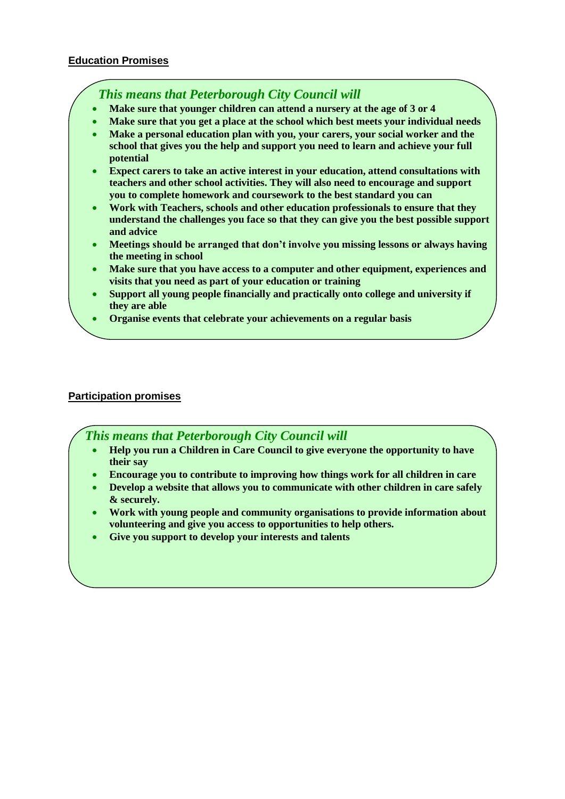*This means that Peterborough City Council will*

- **Make sure that younger children can attend a nursery at the age of 3 or 4**
- **Make sure that you get a place at the school which best meets your individual needs**
- **Make a personal education plan with you, your carers, your social worker and the school that gives you the help and support you need to learn and achieve your full potential**
- **Expect carers to take an active interest in your education, attend consultations with teachers and other school activities. They will also need to encourage and support you to complete homework and coursework to the best standard you can**
- **Work with Teachers, schools and other education professionals to ensure that they understand the challenges you face so that they can give you the best possible support and advice**
- **Meetings should be arranged that don't involve you missing lessons or always having the meeting in school**
- **Make sure that you have access to a computer and other equipment, experiences and visits that you need as part of your education or training**
- **Support all young people financially and practically onto college and university if they are able**
- **Organise events that celebrate your achievements on a regular basis**

## **Participation promises**

 *This means that Peterborough City Council will*

- **Help you run a Children in Care Council to give everyone the opportunity to have their say**
- **Encourage you to contribute to improving how things work for all children in care**
- **Develop a website that allows you to communicate with other children in care safely & securely.**
- **Work with young people and community organisations to provide information about volunteering and give you access to opportunities to help others.**
- **Give you support to develop your interests and talents**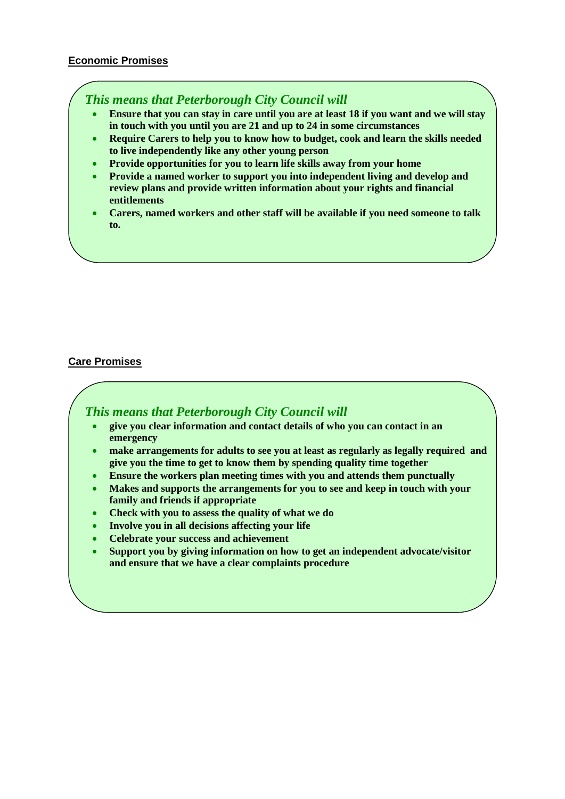#### **Economic Promises**

## *This means that Peterborough City Council will*

- **Ensure that you can stay in care until you are at least 18 if you want and we will stay in touch with you until you are 21 and up to 24 in some circumstances**
- **Require Carers to help you to know how to budget, cook and learn the skills needed to live independently like any other young person**
- **Provide opportunities for you to learn life skills away from your home**
- **Provide a named worker to support you into independent living and develop and review plans and provide written information about your rights and financial entitlements**
- **Carers, named workers and other staff will be available if you need someone to talk to.**

## **Care Promises**

 *This means that Peterborough City Council will*

- **give you clear information and contact details of who you can contact in an emergency**
- **make arrangements for adults to see you at least as regularly as legally required and give you the time to get to know them by spending quality time together**
- **Ensure the workers plan meeting times with you and attends them punctually**
- **Makes and supports the arrangements for you to see and keep in touch with your family and friends if appropriate**
- **Check with you to assess the quality of what we do**
- **Involve you in all decisions affecting your life**
- **Celebrate your success and achievement**
- **Support you by giving information on how to get an independent advocate/visitor and ensure that we have a clear complaints procedure**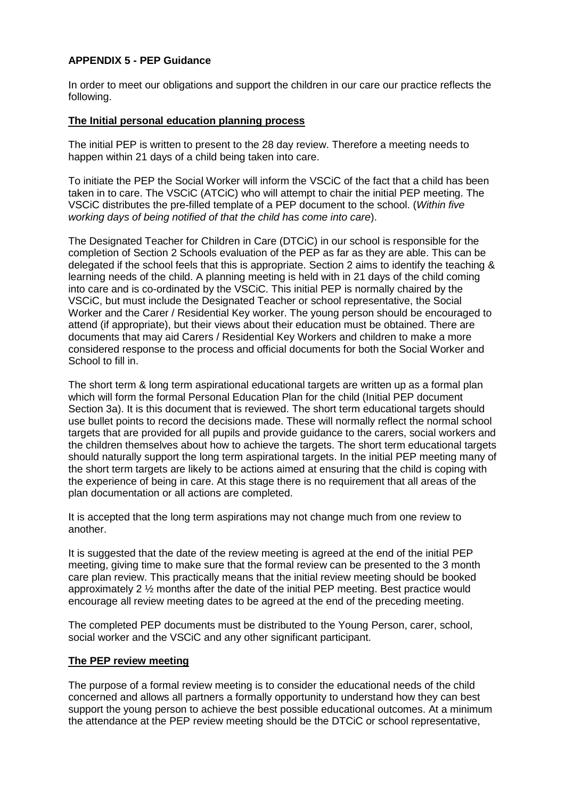## **APPENDIX 5 - PEP Guidance**

In order to meet our obligations and support the children in our care our practice reflects the following.

#### **The Initial personal education planning process**

The initial PEP is written to present to the 28 day review. Therefore a meeting needs to happen within 21 days of a child being taken into care.

To initiate the PEP the Social Worker will inform the VSCiC of the fact that a child has been taken in to care. The VSCiC (ATCiC) who will attempt to chair the initial PEP meeting. The VSCiC distributes the pre-filled template of a PEP document to the school. (*Within five working days of being notified of that the child has come into care*).

The Designated Teacher for Children in Care (DTCiC) in our school is responsible for the completion of Section 2 Schools evaluation of the PEP as far as they are able. This can be delegated if the school feels that this is appropriate. Section 2 aims to identify the teaching & learning needs of the child. A planning meeting is held with in 21 days of the child coming into care and is co-ordinated by the VSCiC. This initial PEP is normally chaired by the VSCiC, but must include the Designated Teacher or school representative, the Social Worker and the Carer / Residential Key worker. The young person should be encouraged to attend (if appropriate), but their views about their education must be obtained. There are documents that may aid Carers / Residential Key Workers and children to make a more considered response to the process and official documents for both the Social Worker and School to fill in.

The short term & long term aspirational educational targets are written up as a formal plan which will form the formal Personal Education Plan for the child (Initial PEP document Section 3a). It is this document that is reviewed. The short term educational targets should use bullet points to record the decisions made. These will normally reflect the normal school targets that are provided for all pupils and provide guidance to the carers, social workers and the children themselves about how to achieve the targets. The short term educational targets should naturally support the long term aspirational targets. In the initial PEP meeting many of the short term targets are likely to be actions aimed at ensuring that the child is coping with the experience of being in care. At this stage there is no requirement that all areas of the plan documentation or all actions are completed.

It is accepted that the long term aspirations may not change much from one review to another.

It is suggested that the date of the review meeting is agreed at the end of the initial PEP meeting, giving time to make sure that the formal review can be presented to the 3 month care plan review. This practically means that the initial review meeting should be booked approximately 2 ½ months after the date of the initial PEP meeting. Best practice would encourage all review meeting dates to be agreed at the end of the preceding meeting.

The completed PEP documents must be distributed to the Young Person, carer, school, social worker and the VSCiC and any other significant participant.

#### **The PEP review meeting**

The purpose of a formal review meeting is to consider the educational needs of the child concerned and allows all partners a formally opportunity to understand how they can best support the young person to achieve the best possible educational outcomes. At a minimum the attendance at the PEP review meeting should be the DTCiC or school representative,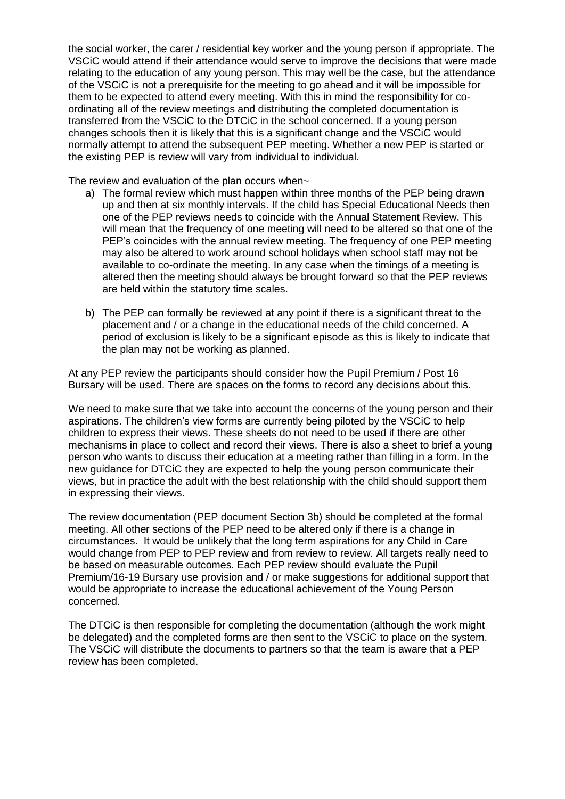the social worker, the carer / residential key worker and the young person if appropriate. The VSCiC would attend if their attendance would serve to improve the decisions that were made relating to the education of any young person. This may well be the case, but the attendance of the VSCiC is not a prerequisite for the meeting to go ahead and it will be impossible for them to be expected to attend every meeting. With this in mind the responsibility for coordinating all of the review meetings and distributing the completed documentation is transferred from the VSCiC to the DTCiC in the school concerned. If a young person changes schools then it is likely that this is a significant change and the VSCiC would normally attempt to attend the subsequent PEP meeting. Whether a new PEP is started or the existing PEP is review will vary from individual to individual.

The review and evaluation of the plan occurs when $\sim$ 

- a) The formal review which must happen within three months of the PEP being drawn up and then at six monthly intervals. If the child has Special Educational Needs then one of the PEP reviews needs to coincide with the Annual Statement Review. This will mean that the frequency of one meeting will need to be altered so that one of the PEP's coincides with the annual review meeting. The frequency of one PEP meeting may also be altered to work around school holidays when school staff may not be available to co-ordinate the meeting. In any case when the timings of a meeting is altered then the meeting should always be brought forward so that the PEP reviews are held within the statutory time scales.
- b) The PEP can formally be reviewed at any point if there is a significant threat to the placement and / or a change in the educational needs of the child concerned. A period of exclusion is likely to be a significant episode as this is likely to indicate that the plan may not be working as planned.

At any PEP review the participants should consider how the Pupil Premium / Post 16 Bursary will be used. There are spaces on the forms to record any decisions about this.

We need to make sure that we take into account the concerns of the young person and their aspirations. The children's view forms are currently being piloted by the VSCiC to help children to express their views. These sheets do not need to be used if there are other mechanisms in place to collect and record their views. There is also a sheet to brief a young person who wants to discuss their education at a meeting rather than filling in a form. In the new guidance for DTCiC they are expected to help the young person communicate their views, but in practice the adult with the best relationship with the child should support them in expressing their views.

The review documentation (PEP document Section 3b) should be completed at the formal meeting. All other sections of the PEP need to be altered only if there is a change in circumstances. It would be unlikely that the long term aspirations for any Child in Care would change from PEP to PEP review and from review to review. All targets really need to be based on measurable outcomes. Each PEP review should evaluate the Pupil Premium/16-19 Bursary use provision and / or make suggestions for additional support that would be appropriate to increase the educational achievement of the Young Person concerned.

The DTCiC is then responsible for completing the documentation (although the work might be delegated) and the completed forms are then sent to the VSCiC to place on the system. The VSCiC will distribute the documents to partners so that the team is aware that a PEP review has been completed.